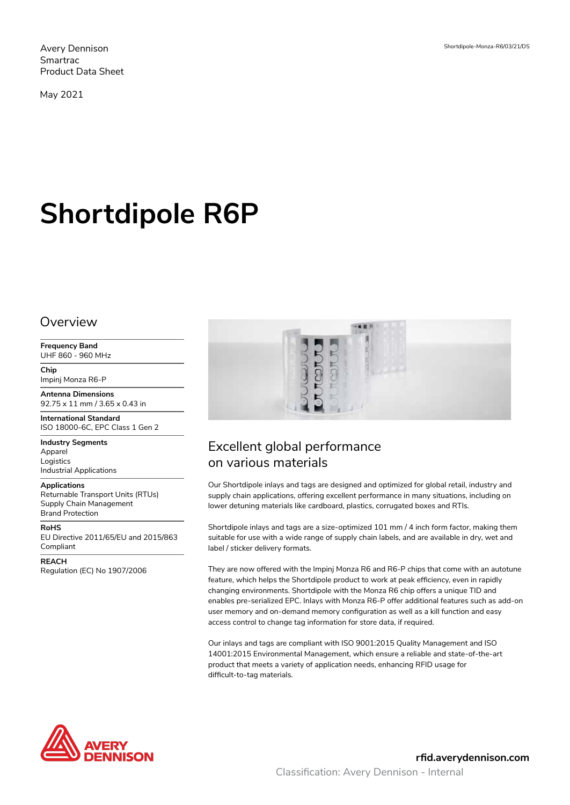Avery Dennison Smartrac Product Data Sheet

May 2021

# **Shortdipole R6P**

#### Overview

**Frequency Band** UHF 860 - 960 MHz

**Chip** Impinj Monza R6-P

**Antenna Dimensions** 92.75 x 11 mm / 3.65 x 0.43 in

**International Standard** ISO 18000-6C, EPC Class 1 Gen 2

**Industry Segments** Apparel

Logistics Industrial Applications

#### **Applications**

Returnable Transport Units (RTUs) Supply Chain Management Brand Protection

**RoHS** EU Directive 2011/65/EU and 2015/863 Compliant

**REACH** Regulation (EC) No 1907/2006



# Excellent global performance on various materials

Our Shortdipole inlays and tags are designed and optimized for global retail, industry and supply chain applications, offering excellent performance in many situations, including on lower detuning materials like cardboard, plastics, corrugated boxes and RTIs.

Shortdipole inlays and tags are a size-optimized 101 mm / 4 inch form factor, making them suitable for use with a wide range of supply chain labels, and are available in dry, wet and label / sticker delivery formats.

They are now offered with the Impinj Monza R6 and R6-P chips that come with an autotune feature, which helps the Shortdipole product to work at peak efficiency, even in rapidly changing environments. Shortdipole with the Monza R6 chip offers a unique TID and enables pre-serialized EPC. Inlays with Monza R6-P offer additional features such as add-on user memory and on-demand memory configuration as well as a kill function and easy access control to change tag information for store data, if required.

Our inlays and tags are compliant with ISO 9001:2015 Quality Management and ISO 14001:2015 Environmental Management, which ensure a reliable and state-of-the-art product that meets a variety of application needs, enhancing RFID usage for difficult-to-tag materials.